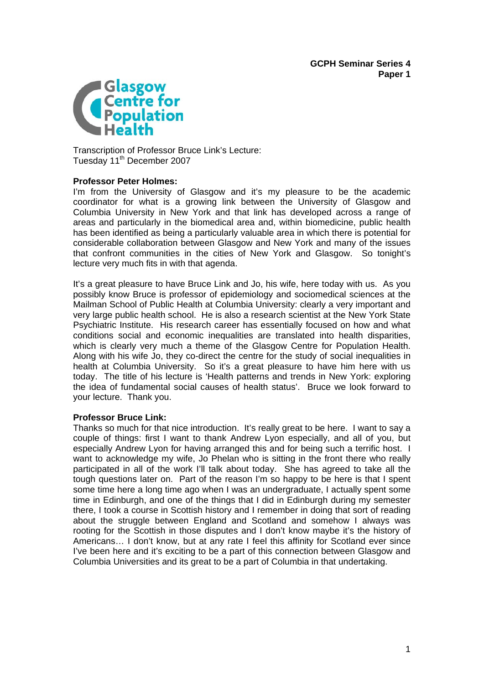

Transcription of Professor Bruce Link's Lecture: Tuesday 11<sup>th</sup> December 2007

## **Professor Peter Holmes:**

I'm from the University of Glasgow and it's my pleasure to be the academic coordinator for what is a growing link between the University of Glasgow and Columbia University in New York and that link has developed across a range of areas and particularly in the biomedical area and, within biomedicine, public health has been identified as being a particularly valuable area in which there is potential for considerable collaboration between Glasgow and New York and many of the issues that confront communities in the cities of New York and Glasgow. So tonight's lecture very much fits in with that agenda.

It's a great pleasure to have Bruce Link and Jo, his wife, here today with us. As you possibly know Bruce is professor of epidemiology and sociomedical sciences at the Mailman School of Public Health at Columbia University: clearly a very important and very large public health school. He is also a research scientist at the New York State Psychiatric Institute. His research career has essentially focused on how and what conditions social and economic inequalities are translated into health disparities, which is clearly very much a theme of the Glasgow Centre for Population Health. Along with his wife Jo, they co-direct the centre for the study of social inequalities in health at Columbia University. So it's a great pleasure to have him here with us today. The title of his lecture is 'Health patterns and trends in New York: exploring the idea of fundamental social causes of health status'. Bruce we look forward to your lecture. Thank you.

## **Professor Bruce Link:**

Thanks so much for that nice introduction. It's really great to be here. I want to say a couple of things: first I want to thank Andrew Lyon especially, and all of you, but especially Andrew Lyon for having arranged this and for being such a terrific host. I want to acknowledge my wife, Jo Phelan who is sitting in the front there who really participated in all of the work I'll talk about today. She has agreed to take all the tough questions later on. Part of the reason I'm so happy to be here is that I spent some time here a long time ago when I was an undergraduate, I actually spent some time in Edinburgh, and one of the things that I did in Edinburgh during my semester there, I took a course in Scottish history and I remember in doing that sort of reading about the struggle between England and Scotland and somehow I always was rooting for the Scottish in those disputes and I don't know maybe it's the history of Americans… I don't know, but at any rate I feel this affinity for Scotland ever since I've been here and it's exciting to be a part of this connection between Glasgow and Columbia Universities and its great to be a part of Columbia in that undertaking.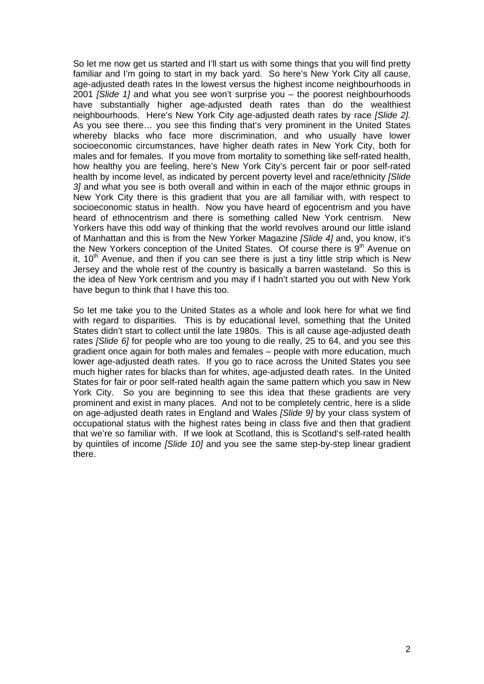So let me now get us started and I'll start us with some things that you will find pretty familiar and I'm going to start in my back yard. So here's New York City all cause, age-adjusted death rates In the lowest versus the highest income neighbourhoods in 2001 *[Slide 1]* and what you see won't surprise you – the poorest neighbourhoods have substantially higher age-adjusted death rates than do the wealthiest neighbourhoods. Here's New York City age-adjusted death rates by race *[Slide 2].*  As you see there… you see this finding that's very prominent in the United States whereby blacks who face more discrimination, and who usually have lower socioeconomic circumstances, have higher death rates in New York City, both for males and for females. If you move from mortality to something like self-rated health, how healthy you are feeling, here's New York City's percent fair or poor self-rated health by income level, as indicated by percent poverty level and race/ethnicity *[Slide 3]* and what you see is both overall and within in each of the major ethnic groups in New York City there is this gradient that you are all familiar with, with respect to socioeconomic status in health. Now you have heard of egocentrism and you have heard of ethnocentrism and there is something called New York centrism. New Yorkers have this odd way of thinking that the world revolves around our little island of Manhattan and this is from the New Yorker Magazine *[Slide 4]* and, you know, it's the New Yorkers conception of the United States. Of course there is  $9<sup>th</sup>$  Avenue on it,  $10<sup>th</sup>$  Avenue, and then if you can see there is just a tiny little strip which is New Jersey and the whole rest of the country is basically a barren wasteland. So this is the idea of New York centrism and you may if I hadn't started you out with New York have begun to think that I have this too.

So let me take you to the United States as a whole and look here for what we find with regard to disparities. This is by educational level, something that the United States didn't start to collect until the late 1980s. This is all cause age-adjusted death rates *[Slide 6]* for people who are too young to die really, 25 to 64, and you see this gradient once again for both males and females – people with more education, much lower age-adjusted death rates. If you go to race across the United States you see much higher rates for blacks than for whites, age-adjusted death rates. In the United States for fair or poor self-rated health again the same pattern which you saw in New York City. So you are beginning to see this idea that these gradients are very prominent and exist in many places. And not to be completely centric, here is a slide on age-adjusted death rates in England and Wales *[Slide 9]* by your class system of occupational status with the highest rates being in class five and then that gradient that we're so familiar with. If we look at Scotland, this is Scotland's self-rated health by quintiles of income *[Slide 10]* and you see the same step-by-step linear gradient there.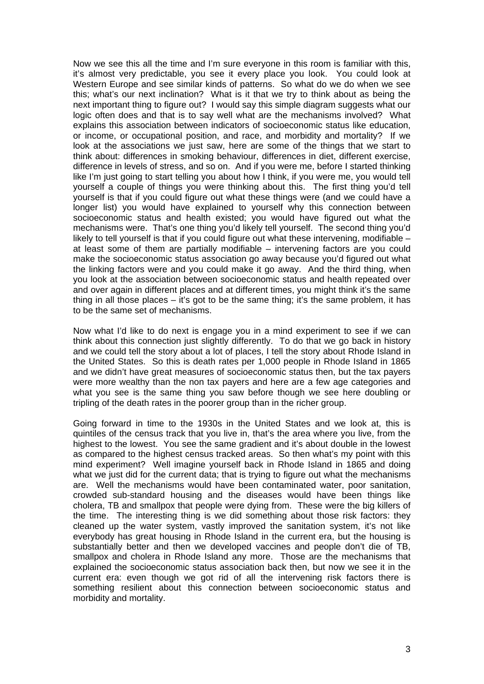Now we see this all the time and I'm sure everyone in this room is familiar with this, it's almost very predictable, you see it every place you look. You could look at Western Europe and see similar kinds of patterns. So what do we do when we see this; what's our next inclination? What is it that we try to think about as being the next important thing to figure out? I would say this simple diagram suggests what our logic often does and that is to say well what are the mechanisms involved? What explains this association between indicators of socioeconomic status like education, or income, or occupational position, and race, and morbidity and mortality? If we look at the associations we just saw, here are some of the things that we start to think about: differences in smoking behaviour, differences in diet, different exercise, difference in levels of stress, and so on. And if you were me, before I started thinking like I'm just going to start telling you about how I think, if you were me, you would tell yourself a couple of things you were thinking about this. The first thing you'd tell yourself is that if you could figure out what these things were (and we could have a longer list) you would have explained to yourself why this connection between socioeconomic status and health existed; you would have figured out what the mechanisms were. That's one thing you'd likely tell yourself. The second thing you'd likely to tell yourself is that if you could figure out what these intervening, modifiable – at least some of them are partially modifiable – intervening factors are you could make the socioeconomic status association go away because you'd figured out what the linking factors were and you could make it go away. And the third thing, when you look at the association between socioeconomic status and health repeated over and over again in different places and at different times, you might think it's the same thing in all those places – it's got to be the same thing; it's the same problem, it has to be the same set of mechanisms.

Now what I'd like to do next is engage you in a mind experiment to see if we can think about this connection just slightly differently. To do that we go back in history and we could tell the story about a lot of places, I tell the story about Rhode Island in the United States. So this is death rates per 1,000 people in Rhode Island in 1865 and we didn't have great measures of socioeconomic status then, but the tax payers were more wealthy than the non tax payers and here are a few age categories and what you see is the same thing you saw before though we see here doubling or tripling of the death rates in the poorer group than in the richer group.

Going forward in time to the 1930s in the United States and we look at, this is quintiles of the census track that you live in, that's the area where you live, from the highest to the lowest. You see the same gradient and it's about double in the lowest as compared to the highest census tracked areas. So then what's my point with this mind experiment? Well imagine yourself back in Rhode Island in 1865 and doing what we just did for the current data; that is trying to figure out what the mechanisms are. Well the mechanisms would have been contaminated water, poor sanitation, crowded sub-standard housing and the diseases would have been things like cholera, TB and smallpox that people were dying from. These were the big killers of the time. The interesting thing is we did something about those risk factors: they cleaned up the water system, vastly improved the sanitation system, it's not like everybody has great housing in Rhode Island in the current era, but the housing is substantially better and then we developed vaccines and people don't die of TB, smallpox and cholera in Rhode Island any more. Those are the mechanisms that explained the socioeconomic status association back then, but now we see it in the current era: even though we got rid of all the intervening risk factors there is something resilient about this connection between socioeconomic status and morbidity and mortality.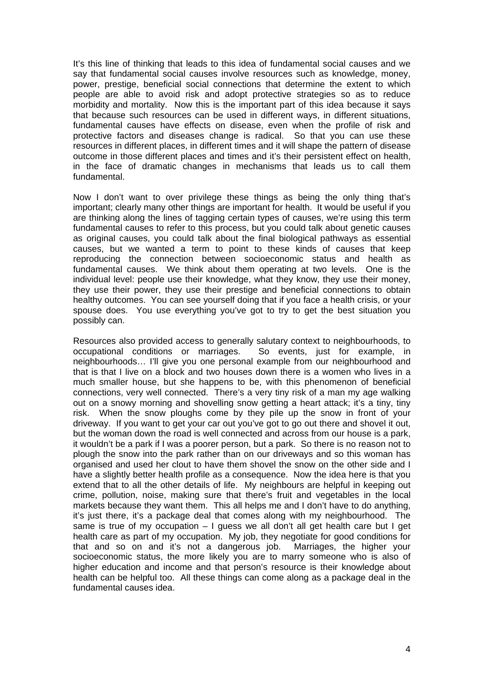It's this line of thinking that leads to this idea of fundamental social causes and we say that fundamental social causes involve resources such as knowledge, money, power, prestige, beneficial social connections that determine the extent to which people are able to avoid risk and adopt protective strategies so as to reduce morbidity and mortality. Now this is the important part of this idea because it says that because such resources can be used in different ways, in different situations, fundamental causes have effects on disease, even when the profile of risk and protective factors and diseases change is radical. So that you can use these resources in different places, in different times and it will shape the pattern of disease outcome in those different places and times and it's their persistent effect on health, in the face of dramatic changes in mechanisms that leads us to call them fundamental.

Now I don't want to over privilege these things as being the only thing that's important; clearly many other things are important for health. It would be useful if you are thinking along the lines of tagging certain types of causes, we're using this term fundamental causes to refer to this process, but you could talk about genetic causes as original causes, you could talk about the final biological pathways as essential causes, but we wanted a term to point to these kinds of causes that keep reproducing the connection between socioeconomic status and health as fundamental causes. We think about them operating at two levels. One is the individual level: people use their knowledge, what they know, they use their money, they use their power, they use their prestige and beneficial connections to obtain healthy outcomes. You can see yourself doing that if you face a health crisis, or your spouse does. You use everything you've got to try to get the best situation you possibly can.

Resources also provided access to generally salutary context to neighbourhoods, to occupational conditions or marriages. So events, just for example, in neighbourhoods… I'll give you one personal example from our neighbourhood and that is that I live on a block and two houses down there is a women who lives in a much smaller house, but she happens to be, with this phenomenon of beneficial connections, very well connected. There's a very tiny risk of a man my age walking out on a snowy morning and shovelling snow getting a heart attack; it's a tiny, tiny risk. When the snow ploughs come by they pile up the snow in front of your driveway. If you want to get your car out you've got to go out there and shovel it out, but the woman down the road is well connected and across from our house is a park, it wouldn't be a park if I was a poorer person, but a park. So there is no reason not to plough the snow into the park rather than on our driveways and so this woman has organised and used her clout to have them shovel the snow on the other side and I have a slightly better health profile as a consequence. Now the idea here is that you extend that to all the other details of life. My neighbours are helpful in keeping out crime, pollution, noise, making sure that there's fruit and vegetables in the local markets because they want them. This all helps me and I don't have to do anything, it's just there, it's a package deal that comes along with my neighbourhood. The same is true of my occupation  $-1$  quess we all don't all get health care but I get health care as part of my occupation. My job, they negotiate for good conditions for that and so on and it's not a dangerous job. Marriages, the higher your socioeconomic status, the more likely you are to marry someone who is also of higher education and income and that person's resource is their knowledge about health can be helpful too. All these things can come along as a package deal in the fundamental causes idea.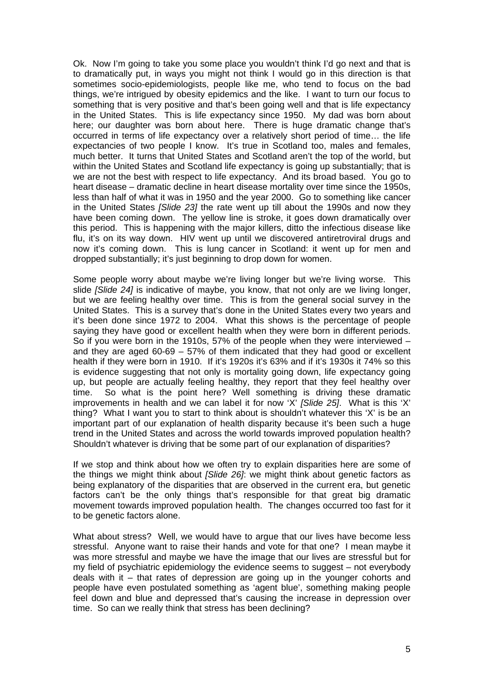Ok. Now I'm going to take you some place you wouldn't think I'd go next and that is to dramatically put, in ways you might not think I would go in this direction is that sometimes socio-epidemiologists, people like me, who tend to focus on the bad things, we're intrigued by obesity epidemics and the like. I want to turn our focus to something that is very positive and that's been going well and that is life expectancy in the United States. This is life expectancy since 1950. My dad was born about here; our daughter was born about here. There is huge dramatic change that's occurred in terms of life expectancy over a relatively short period of time… the life expectancies of two people I know. It's true in Scotland too, males and females, much better. It turns that United States and Scotland aren't the top of the world, but within the United States and Scotland life expectancy is going up substantially; that is we are not the best with respect to life expectancy. And its broad based. You go to heart disease – dramatic decline in heart disease mortality over time since the 1950s, less than half of what it was in 1950 and the year 2000. Go to something like cancer in the United States *[Slide 23]* the rate went up till about the 1990s and now they have been coming down. The yellow line is stroke, it goes down dramatically over this period. This is happening with the major killers, ditto the infectious disease like flu, it's on its way down. HIV went up until we discovered antiretroviral drugs and now it's coming down. This is lung cancer in Scotland: it went up for men and dropped substantially; it's just beginning to drop down for women.

Some people worry about maybe we're living longer but we're living worse. This slide *[Slide 24]* is indicative of maybe, you know, that not only are we living longer, but we are feeling healthy over time. This is from the general social survey in the United States. This is a survey that's done in the United States every two years and it's been done since 1972 to 2004. What this shows is the percentage of people saying they have good or excellent health when they were born in different periods. So if you were born in the 1910s, 57% of the people when they were interviewed – and they are aged 60-69 – 57% of them indicated that they had good or excellent health if they were born in 1910. If it's 1920s it's 63% and if it's 1930s it 74% so this is evidence suggesting that not only is mortality going down, life expectancy going up, but people are actually feeling healthy, they report that they feel healthy over time. So what is the point here? Well something is driving these dramatic improvements in health and we can label it for now 'X' *[Slide 25]*. What is this 'X' thing? What I want you to start to think about is shouldn't whatever this 'X' is be an important part of our explanation of health disparity because it's been such a huge trend in the United States and across the world towards improved population health? Shouldn't whatever is driving that be some part of our explanation of disparities?

If we stop and think about how we often try to explain disparities here are some of the things we might think about *[Slide 26]*: we might think about genetic factors as being explanatory of the disparities that are observed in the current era, but genetic factors can't be the only things that's responsible for that great big dramatic movement towards improved population health. The changes occurred too fast for it to be genetic factors alone.

What about stress? Well, we would have to argue that our lives have become less stressful. Anyone want to raise their hands and vote for that one? I mean maybe it was more stressful and maybe we have the image that our lives are stressful but for my field of psychiatric epidemiology the evidence seems to suggest – not everybody deals with it – that rates of depression are going up in the younger cohorts and people have even postulated something as 'agent blue', something making people feel down and blue and depressed that's causing the increase in depression over time. So can we really think that stress has been declining?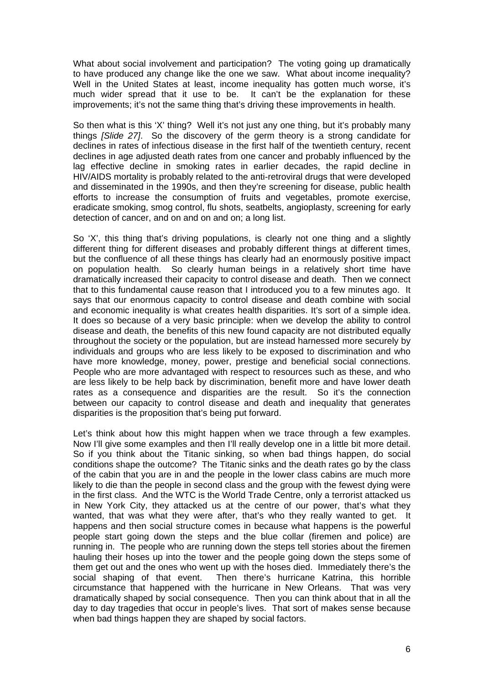What about social involvement and participation? The voting going up dramatically to have produced any change like the one we saw. What about income inequality? Well in the United States at least, income inequality has gotten much worse, it's much wider spread that it use to be. It can't be the explanation for these improvements; it's not the same thing that's driving these improvements in health.

So then what is this 'X' thing? Well it's not just any one thing, but it's probably many things *[Slide 27]*. So the discovery of the germ theory is a strong candidate for declines in rates of infectious disease in the first half of the twentieth century, recent declines in age adjusted death rates from one cancer and probably influenced by the lag effective decline in smoking rates in earlier decades, the rapid decline in HIV/AIDS mortality is probably related to the anti-retroviral drugs that were developed and disseminated in the 1990s, and then they're screening for disease, public health efforts to increase the consumption of fruits and vegetables, promote exercise, eradicate smoking, smog control, flu shots, seatbelts, angioplasty, screening for early detection of cancer, and on and on and on; a long list.

So 'X', this thing that's driving populations, is clearly not one thing and a slightly different thing for different diseases and probably different things at different times, but the confluence of all these things has clearly had an enormously positive impact on population health. So clearly human beings in a relatively short time have dramatically increased their capacity to control disease and death. Then we connect that to this fundamental cause reason that I introduced you to a few minutes ago. It says that our enormous capacity to control disease and death combine with social and economic inequality is what creates health disparities. It's sort of a simple idea. It does so because of a very basic principle: when we develop the ability to control disease and death, the benefits of this new found capacity are not distributed equally throughout the society or the population, but are instead harnessed more securely by individuals and groups who are less likely to be exposed to discrimination and who have more knowledge, money, power, prestige and beneficial social connections. People who are more advantaged with respect to resources such as these, and who are less likely to be help back by discrimination, benefit more and have lower death rates as a consequence and disparities are the result. So it's the connection between our capacity to control disease and death and inequality that generates disparities is the proposition that's being put forward.

Let's think about how this might happen when we trace through a few examples. Now I'll give some examples and then I'll really develop one in a little bit more detail. So if you think about the Titanic sinking, so when bad things happen, do social conditions shape the outcome? The Titanic sinks and the death rates go by the class of the cabin that you are in and the people in the lower class cabins are much more likely to die than the people in second class and the group with the fewest dying were in the first class. And the WTC is the World Trade Centre, only a terrorist attacked us in New York City, they attacked us at the centre of our power, that's what they wanted, that was what they were after, that's who they really wanted to get. It happens and then social structure comes in because what happens is the powerful people start going down the steps and the blue collar (firemen and police) are running in. The people who are running down the steps tell stories about the firemen hauling their hoses up into the tower and the people going down the steps some of them get out and the ones who went up with the hoses died. Immediately there's the social shaping of that event. Then there's hurricane Katrina, this horrible circumstance that happened with the hurricane in New Orleans. That was very dramatically shaped by social consequence. Then you can think about that in all the day to day tragedies that occur in people's lives. That sort of makes sense because when bad things happen they are shaped by social factors.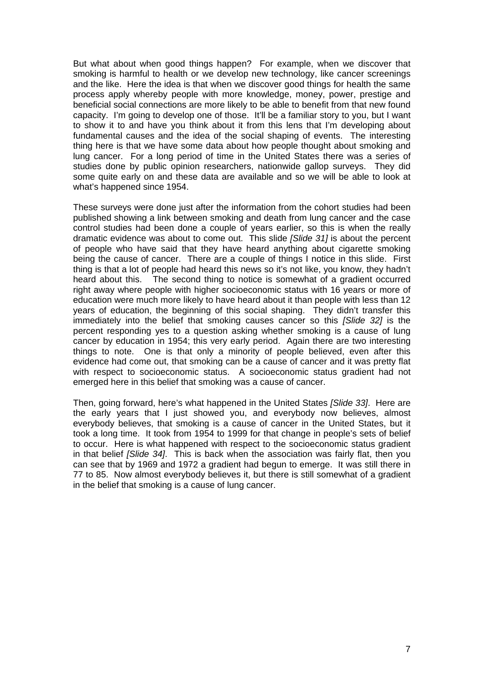But what about when good things happen? For example, when we discover that smoking is harmful to health or we develop new technology, like cancer screenings and the like. Here the idea is that when we discover good things for health the same process apply whereby people with more knowledge, money, power, prestige and beneficial social connections are more likely to be able to benefit from that new found capacity. I'm going to develop one of those. It'll be a familiar story to you, but I want to show it to and have you think about it from this lens that I'm developing about fundamental causes and the idea of the social shaping of events. The interesting thing here is that we have some data about how people thought about smoking and lung cancer. For a long period of time in the United States there was a series of studies done by public opinion researchers, nationwide gallop surveys. They did some quite early on and these data are available and so we will be able to look at what's happened since 1954.

These surveys were done just after the information from the cohort studies had been published showing a link between smoking and death from lung cancer and the case control studies had been done a couple of years earlier, so this is when the really dramatic evidence was about to come out. This slide *[Slide 31]* is about the percent of people who have said that they have heard anything about cigarette smoking being the cause of cancer. There are a couple of things I notice in this slide. First thing is that a lot of people had heard this news so it's not like, you know, they hadn't heard about this. The second thing to notice is somewhat of a gradient occurred right away where people with higher socioeconomic status with 16 years or more of education were much more likely to have heard about it than people with less than 12 years of education, the beginning of this social shaping. They didn't transfer this immediately into the belief that smoking causes cancer so this *[Slide 32]* is the percent responding yes to a question asking whether smoking is a cause of lung cancer by education in 1954; this very early period. Again there are two interesting things to note. One is that only a minority of people believed, even after this evidence had come out, that smoking can be a cause of cancer and it was pretty flat with respect to socioeconomic status. A socioeconomic status gradient had not emerged here in this belief that smoking was a cause of cancer.

Then, going forward, here's what happened in the United States *[Slide 33]*. Here are the early years that I just showed you, and everybody now believes, almost everybody believes, that smoking is a cause of cancer in the United States, but it took a long time. It took from 1954 to 1999 for that change in people's sets of belief to occur. Here is what happened with respect to the socioeconomic status gradient in that belief *[Slide 34]*. This is back when the association was fairly flat, then you can see that by 1969 and 1972 a gradient had begun to emerge. It was still there in 77 to 85. Now almost everybody believes it, but there is still somewhat of a gradient in the belief that smoking is a cause of lung cancer.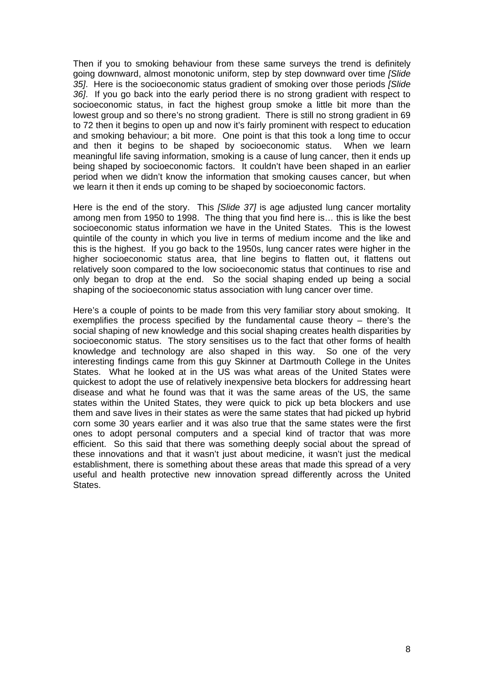Then if you to smoking behaviour from these same surveys the trend is definitely going downward, almost monotonic uniform, step by step downward over time *[Slide 35]*. Here is the socioeconomic status gradient of smoking over those periods *[Slide 36]*. If you go back into the early period there is no strong gradient with respect to socioeconomic status, in fact the highest group smoke a little bit more than the lowest group and so there's no strong gradient. There is still no strong gradient in 69 to 72 then it begins to open up and now it's fairly prominent with respect to education and smoking behaviour; a bit more. One point is that this took a long time to occur and then it begins to be shaped by socioeconomic status. When we learn meaningful life saving information, smoking is a cause of lung cancer, then it ends up being shaped by socioeconomic factors. It couldn't have been shaped in an earlier period when we didn't know the information that smoking causes cancer, but when we learn it then it ends up coming to be shaped by socioeconomic factors.

Here is the end of the story. This *[Slide 37]* is age adjusted lung cancer mortality among men from 1950 to 1998. The thing that you find here is… this is like the best socioeconomic status information we have in the United States. This is the lowest quintile of the county in which you live in terms of medium income and the like and this is the highest. If you go back to the 1950s, lung cancer rates were higher in the higher socioeconomic status area, that line begins to flatten out, it flattens out relatively soon compared to the low socioeconomic status that continues to rise and only began to drop at the end. So the social shaping ended up being a social shaping of the socioeconomic status association with lung cancer over time.

Here's a couple of points to be made from this very familiar story about smoking. It exemplifies the process specified by the fundamental cause theory – there's the social shaping of new knowledge and this social shaping creates health disparities by socioeconomic status. The story sensitises us to the fact that other forms of health knowledge and technology are also shaped in this way. So one of the very interesting findings came from this guy Skinner at Dartmouth College in the Unites States. What he looked at in the US was what areas of the United States were quickest to adopt the use of relatively inexpensive beta blockers for addressing heart disease and what he found was that it was the same areas of the US, the same states within the United States, they were quick to pick up beta blockers and use them and save lives in their states as were the same states that had picked up hybrid corn some 30 years earlier and it was also true that the same states were the first ones to adopt personal computers and a special kind of tractor that was more efficient. So this said that there was something deeply social about the spread of these innovations and that it wasn't just about medicine, it wasn't just the medical establishment, there is something about these areas that made this spread of a very useful and health protective new innovation spread differently across the United States.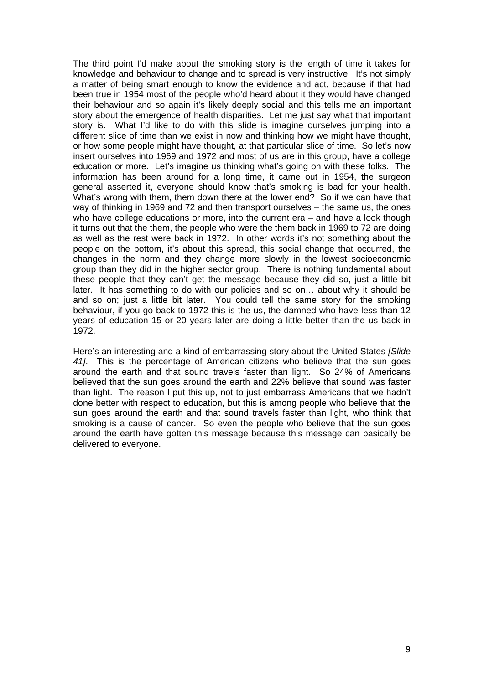The third point I'd make about the smoking story is the length of time it takes for knowledge and behaviour to change and to spread is very instructive. It's not simply a matter of being smart enough to know the evidence and act, because if that had been true in 1954 most of the people who'd heard about it they would have changed their behaviour and so again it's likely deeply social and this tells me an important story about the emergence of health disparities. Let me just say what that important story is. What I'd like to do with this slide is imagine ourselves jumping into a different slice of time than we exist in now and thinking how we might have thought, or how some people might have thought, at that particular slice of time. So let's now insert ourselves into 1969 and 1972 and most of us are in this group, have a college education or more. Let's imagine us thinking what's going on with these folks. The information has been around for a long time, it came out in 1954, the surgeon general asserted it, everyone should know that's smoking is bad for your health. What's wrong with them, them down there at the lower end? So if we can have that way of thinking in 1969 and 72 and then transport ourselves – the same us, the ones who have college educations or more, into the current era – and have a look though it turns out that the them, the people who were the them back in 1969 to 72 are doing as well as the rest were back in 1972. In other words it's not something about the people on the bottom, it's about this spread, this social change that occurred, the changes in the norm and they change more slowly in the lowest socioeconomic group than they did in the higher sector group. There is nothing fundamental about these people that they can't get the message because they did so, just a little bit later. It has something to do with our policies and so on… about why it should be and so on; just a little bit later. You could tell the same story for the smoking behaviour, if you go back to 1972 this is the us, the damned who have less than 12 years of education 15 or 20 years later are doing a little better than the us back in 1972.

Here's an interesting and a kind of embarrassing story about the United States *[Slide 41]*. This is the percentage of American citizens who believe that the sun goes around the earth and that sound travels faster than light. So 24% of Americans believed that the sun goes around the earth and 22% believe that sound was faster than light. The reason I put this up, not to just embarrass Americans that we hadn't done better with respect to education, but this is among people who believe that the sun goes around the earth and that sound travels faster than light, who think that smoking is a cause of cancer. So even the people who believe that the sun goes around the earth have gotten this message because this message can basically be delivered to everyone.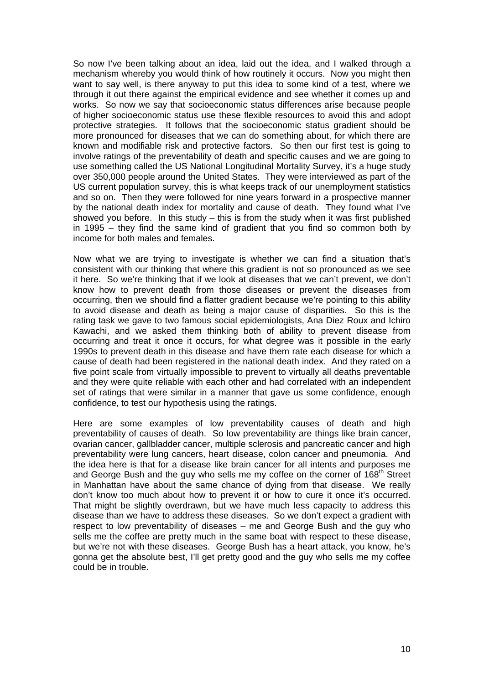So now I've been talking about an idea, laid out the idea, and I walked through a mechanism whereby you would think of how routinely it occurs. Now you might then want to say well, is there anyway to put this idea to some kind of a test, where we through it out there against the empirical evidence and see whether it comes up and works. So now we say that socioeconomic status differences arise because people of higher socioeconomic status use these flexible resources to avoid this and adopt protective strategies. It follows that the socioeconomic status gradient should be more pronounced for diseases that we can do something about, for which there are known and modifiable risk and protective factors. So then our first test is going to involve ratings of the preventability of death and specific causes and we are going to use something called the US National Longitudinal Mortality Survey, it's a huge study over 350,000 people around the United States. They were interviewed as part of the US current population survey, this is what keeps track of our unemployment statistics and so on. Then they were followed for nine years forward in a prospective manner by the national death index for mortality and cause of death. They found what I've showed you before. In this study – this is from the study when it was first published in 1995 – they find the same kind of gradient that you find so common both by income for both males and females.

Now what we are trying to investigate is whether we can find a situation that's consistent with our thinking that where this gradient is not so pronounced as we see it here. So we're thinking that if we look at diseases that we can't prevent, we don't know how to prevent death from those diseases or prevent the diseases from occurring, then we should find a flatter gradient because we're pointing to this ability to avoid disease and death as being a major cause of disparities. So this is the rating task we gave to two famous social epidemiologists, Ana Diez Roux and Ichiro Kawachi, and we asked them thinking both of ability to prevent disease from occurring and treat it once it occurs, for what degree was it possible in the early 1990s to prevent death in this disease and have them rate each disease for which a cause of death had been registered in the national death index. And they rated on a five point scale from virtually impossible to prevent to virtually all deaths preventable and they were quite reliable with each other and had correlated with an independent set of ratings that were similar in a manner that gave us some confidence, enough confidence, to test our hypothesis using the ratings.

Here are some examples of low preventability causes of death and high preventability of causes of death. So low preventability are things like brain cancer, ovarian cancer, gallbladder cancer, multiple sclerosis and pancreatic cancer and high preventability were lung cancers, heart disease, colon cancer and pneumonia. And the idea here is that for a disease like brain cancer for all intents and purposes me and George Bush and the guy who sells me my coffee on the corner of 168<sup>th</sup> Street in Manhattan have about the same chance of dying from that disease. We really don't know too much about how to prevent it or how to cure it once it's occurred. That might be slightly overdrawn, but we have much less capacity to address this disease than we have to address these diseases. So we don't expect a gradient with respect to low preventability of diseases – me and George Bush and the guy who sells me the coffee are pretty much in the same boat with respect to these disease, but we're not with these diseases. George Bush has a heart attack, you know, he's gonna get the absolute best, I'll get pretty good and the guy who sells me my coffee could be in trouble.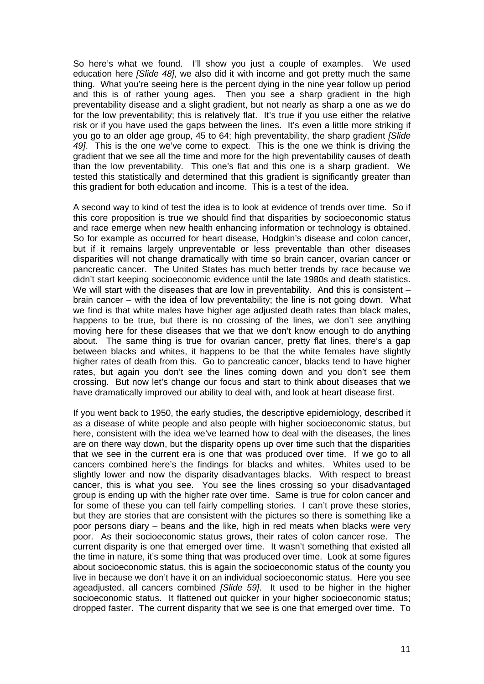So here's what we found. I'll show you just a couple of examples. We used education here *[Slide 48]*, we also did it with income and got pretty much the same thing. What you're seeing here is the percent dying in the nine year follow up period and this is of rather young ages. Then you see a sharp gradient in the high preventability disease and a slight gradient, but not nearly as sharp a one as we do for the low preventability; this is relatively flat. It's true if you use either the relative risk or if you have used the gaps between the lines. It's even a little more striking if you go to an older age group, 45 to 64; high preventability, the sharp gradient *[Slide 49]*. This is the one we've come to expect. This is the one we think is driving the gradient that we see all the time and more for the high preventability causes of death than the low preventability. This one's flat and this one is a sharp gradient. We tested this statistically and determined that this gradient is significantly greater than this gradient for both education and income. This is a test of the idea.

A second way to kind of test the idea is to look at evidence of trends over time. So if this core proposition is true we should find that disparities by socioeconomic status and race emerge when new health enhancing information or technology is obtained. So for example as occurred for heart disease, Hodgkin's disease and colon cancer, but if it remains largely unpreventable or less preventable than other diseases disparities will not change dramatically with time so brain cancer, ovarian cancer or pancreatic cancer. The United States has much better trends by race because we didn't start keeping socioeconomic evidence until the late 1980s and death statistics. We will start with the diseases that are low in preventability. And this is consistent – brain cancer – with the idea of low preventability; the line is not going down. What we find is that white males have higher age adjusted death rates than black males, happens to be true, but there is no crossing of the lines, we don't see anything moving here for these diseases that we that we don't know enough to do anything about. The same thing is true for ovarian cancer, pretty flat lines, there's a gap between blacks and whites, it happens to be that the white females have slightly higher rates of death from this. Go to pancreatic cancer, blacks tend to have higher rates, but again you don't see the lines coming down and you don't see them crossing. But now let's change our focus and start to think about diseases that we have dramatically improved our ability to deal with, and look at heart disease first.

If you went back to 1950, the early studies, the descriptive epidemiology, described it as a disease of white people and also people with higher socioeconomic status, but here, consistent with the idea we've learned how to deal with the diseases, the lines are on there way down, but the disparity opens up over time such that the disparities that we see in the current era is one that was produced over time. If we go to all cancers combined here's the findings for blacks and whites. Whites used to be slightly lower and now the disparity disadvantages blacks. With respect to breast cancer, this is what you see. You see the lines crossing so your disadvantaged group is ending up with the higher rate over time. Same is true for colon cancer and for some of these you can tell fairly compelling stories. I can't prove these stories, but they are stories that are consistent with the pictures so there is something like a poor persons diary – beans and the like, high in red meats when blacks were very poor. As their socioeconomic status grows, their rates of colon cancer rose. The current disparity is one that emerged over time. It wasn't something that existed all the time in nature, it's some thing that was produced over time. Look at some figures about socioeconomic status, this is again the socioeconomic status of the county you live in because we don't have it on an individual socioeconomic status. Here you see ageadjusted, all cancers combined *[Slide 59]*. It used to be higher in the higher socioeconomic status. It flattened out quicker in your higher socioeconomic status; dropped faster. The current disparity that we see is one that emerged over time. To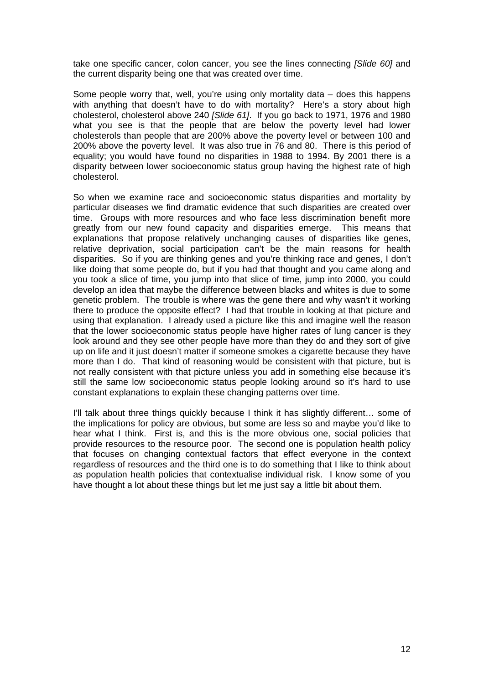take one specific cancer, colon cancer, you see the lines connecting *[Slide 60]* and the current disparity being one that was created over time.

Some people worry that, well, you're using only mortality data – does this happens with anything that doesn't have to do with mortality? Here's a story about high cholesterol, cholesterol above 240 *[Slide 61]*. If you go back to 1971, 1976 and 1980 what you see is that the people that are below the poverty level had lower cholesterols than people that are 200% above the poverty level or between 100 and 200% above the poverty level. It was also true in 76 and 80. There is this period of equality; you would have found no disparities in 1988 to 1994. By 2001 there is a disparity between lower socioeconomic status group having the highest rate of high cholesterol.

So when we examine race and socioeconomic status disparities and mortality by particular diseases we find dramatic evidence that such disparities are created over time. Groups with more resources and who face less discrimination benefit more greatly from our new found capacity and disparities emerge. This means that explanations that propose relatively unchanging causes of disparities like genes, relative deprivation, social participation can't be the main reasons for health disparities. So if you are thinking genes and you're thinking race and genes, I don't like doing that some people do, but if you had that thought and you came along and you took a slice of time, you jump into that slice of time, jump into 2000, you could develop an idea that maybe the difference between blacks and whites is due to some genetic problem. The trouble is where was the gene there and why wasn't it working there to produce the opposite effect? I had that trouble in looking at that picture and using that explanation. I already used a picture like this and imagine well the reason that the lower socioeconomic status people have higher rates of lung cancer is they look around and they see other people have more than they do and they sort of give up on life and it just doesn't matter if someone smokes a cigarette because they have more than I do. That kind of reasoning would be consistent with that picture, but is not really consistent with that picture unless you add in something else because it's still the same low socioeconomic status people looking around so it's hard to use constant explanations to explain these changing patterns over time.

I'll talk about three things quickly because I think it has slightly different... some of the implications for policy are obvious, but some are less so and maybe you'd like to hear what I think. First is, and this is the more obvious one, social policies that provide resources to the resource poor. The second one is population health policy that focuses on changing contextual factors that effect everyone in the context regardless of resources and the third one is to do something that I like to think about as population health policies that contextualise individual risk. I know some of you have thought a lot about these things but let me just say a little bit about them.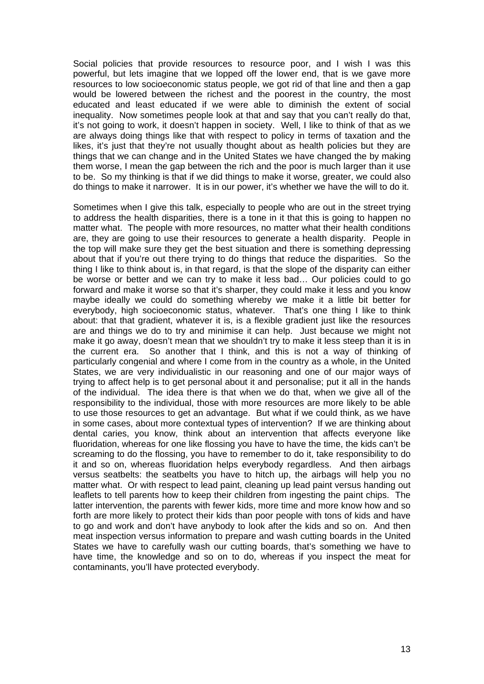Social policies that provide resources to resource poor, and I wish I was this powerful, but lets imagine that we lopped off the lower end, that is we gave more resources to low socioeconomic status people, we got rid of that line and then a gap would be lowered between the richest and the poorest in the country, the most educated and least educated if we were able to diminish the extent of social inequality. Now sometimes people look at that and say that you can't really do that, it's not going to work, it doesn't happen in society. Well, I like to think of that as we are always doing things like that with respect to policy in terms of taxation and the likes, it's just that they're not usually thought about as health policies but they are things that we can change and in the United States we have changed the by making them worse, I mean the gap between the rich and the poor is much larger than it use to be. So my thinking is that if we did things to make it worse, greater, we could also do things to make it narrower. It is in our power, it's whether we have the will to do it.

Sometimes when I give this talk, especially to people who are out in the street trying to address the health disparities, there is a tone in it that this is going to happen no matter what. The people with more resources, no matter what their health conditions are, they are going to use their resources to generate a health disparity. People in the top will make sure they get the best situation and there is something depressing about that if you're out there trying to do things that reduce the disparities. So the thing I like to think about is, in that regard, is that the slope of the disparity can either be worse or better and we can try to make it less bad… Our policies could to go forward and make it worse so that it's sharper, they could make it less and you know maybe ideally we could do something whereby we make it a little bit better for everybody, high socioeconomic status, whatever. That's one thing I like to think about: that that gradient, whatever it is, is a flexible gradient just like the resources are and things we do to try and minimise it can help. Just because we might not make it go away, doesn't mean that we shouldn't try to make it less steep than it is in the current era. So another that I think, and this is not a way of thinking of particularly congenial and where I come from in the country as a whole, in the United States, we are very individualistic in our reasoning and one of our major ways of trying to affect help is to get personal about it and personalise; put it all in the hands of the individual. The idea there is that when we do that, when we give all of the responsibility to the individual, those with more resources are more likely to be able to use those resources to get an advantage. But what if we could think, as we have in some cases, about more contextual types of intervention? If we are thinking about dental caries, you know, think about an intervention that affects everyone like fluoridation, whereas for one like flossing you have to have the time, the kids can't be screaming to do the flossing, you have to remember to do it, take responsibility to do it and so on, whereas fluoridation helps everybody regardless. And then airbags versus seatbelts: the seatbelts you have to hitch up, the airbags will help you no matter what. Or with respect to lead paint, cleaning up lead paint versus handing out leaflets to tell parents how to keep their children from ingesting the paint chips. The latter intervention, the parents with fewer kids, more time and more know how and so forth are more likely to protect their kids than poor people with tons of kids and have to go and work and don't have anybody to look after the kids and so on. And then meat inspection versus information to prepare and wash cutting boards in the United States we have to carefully wash our cutting boards, that's something we have to have time, the knowledge and so on to do, whereas if you inspect the meat for contaminants, you'll have protected everybody.